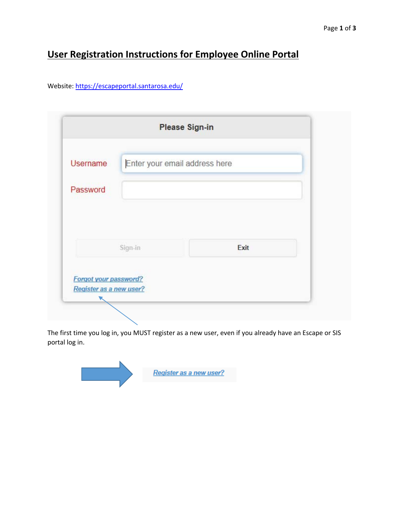## **User Registration Instructions for Employee Online Portal**

Website: https://escapeportal.santarosa.edu/

| <b>Username</b> | Enter your email address here |      |  |
|-----------------|-------------------------------|------|--|
|                 |                               |      |  |
| Password        |                               |      |  |
|                 |                               |      |  |
|                 |                               |      |  |
|                 |                               |      |  |
|                 | Sign-in                       | Exit |  |
|                 |                               |      |  |

The first time you log in, you MUST register as a new user, even if you already have an Escape or SIS portal log in.

Register as a new user?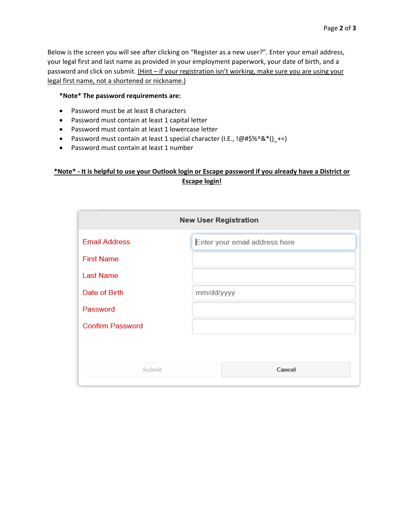Below is the screen you will see after clicking on "Register as a new user?". Enter your email address, your legal first and last name as provided in your employment paperwork, your date of birth, and a password and click on submit. (Hint – if your registration isn't working, make sure you are using your legal first name, not a shortened or nickname.)

## **\*Note\* The password requirements are:**

- Password must be at least 8 characters
- Password must contain at least 1 capital letter
- Password must contain at least 1 lowercase letter
- Password must contain at least 1 special character (I.E., !@#\$%^&\*()\_+=)
- Password must contain at least 1 number

## **\*Note\* ‐ It is helpful to use your Outlook login or Escape password if you already have a District or Escape login!**

|                         | <b>New User Registration</b>  |
|-------------------------|-------------------------------|
| <b>Email Address</b>    | Enter your email address here |
| <b>First Name</b>       |                               |
| <b>Last Name</b>        |                               |
| Date of Birth           | mm/dd/yyyy                    |
| Password                |                               |
| <b>Confirm Password</b> |                               |
|                         |                               |
|                         |                               |
| Submit                  | Cancel                        |